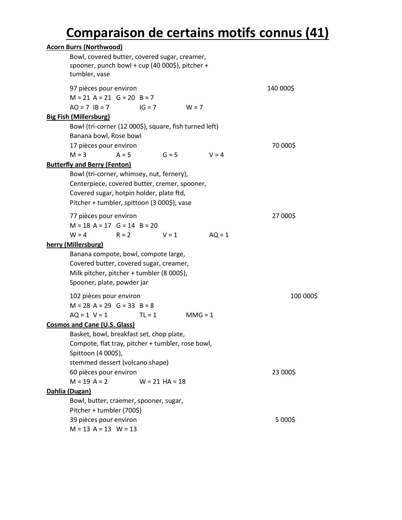# **Comparaison de certains motifs connus (41)**

| <b>Acorn Burrs (Northwood)</b>                              |           |
|-------------------------------------------------------------|-----------|
| Bowl, covered butter, covered sugar, creamer,               |           |
| spooner, punch bowl + cup (40 000\$), pitcher +             |           |
| tumbler, vase                                               |           |
| 97 pièces pour environ                                      | 140 000\$ |
| $M = 21$ A = 21 G = 20 B = 7                                |           |
| $AO = 7$ $IB = 7$<br>$IG = 7$<br>$W = 7$                    |           |
| <b>Big Fish (Millersburg)</b>                               |           |
| Bowl (tri-corner (12 000\$), square, fish turned left)      |           |
| Banana bowl, Rose bowl                                      |           |
| 17 pièces pour environ                                      | 70 000\$  |
| $M = 3$<br>$G = 5$<br>$A = 5$<br>$V = 4$                    |           |
| <b>Butterfly and Berry (Fenton)</b>                         |           |
| Bowl (tri-corner, whimsey, nut, fernery),                   |           |
| Centerpiece, covered butter, cremer, spooner,               |           |
| Covered sugar, hotpin holder, plate ftd,                    |           |
| Pitcher + tumbler, spittoon (3 000\$), vase                 |           |
|                                                             | 27 000\$  |
| 77 pièces pour environ<br>$M = 18$ A = 17 G = 14 B = 20     |           |
| $W = 4$<br>$V = 1$                                          |           |
| $AQ = 1$<br>$R = 2$                                         |           |
| herry (Millersburg)<br>Banana compote, bowl, compote large, |           |
|                                                             |           |
| Covered butter, covered sugar, creamer,                     |           |
| Milk pitcher, pitcher + tumbler (8 000\$),                  |           |
| Spooner, plate, powder jar                                  |           |
| 102 pièces pour environ                                     | 100 000\$ |
| $M = 28$ A = 29 G = 33 B = 8                                |           |
| $AQ = 1$ V = 1<br>$MMG = 1$<br>$TL = 1$                     |           |
| <b>Cosmos and Cane (U.S. Glass)</b>                         |           |
| Basket, bowl, breakfast set, chop plate,                    |           |
| Compote, flat tray, pitcher + tumbler, rose bowl,           |           |
| Spittoon (4 000\$),                                         |           |
| stemmed dessert (volcano shape)                             |           |
| 60 pièces pour environ                                      | 23 000\$  |
| $M = 19$ A = 2<br>$W = 21$ HA = 18                          |           |
| Dahlia (Dugan)                                              |           |
| Bowl, butter, craemer, spooner, sugar,                      |           |
| Pitcher + tumbler (700\$)                                   |           |
| 39 pièces pour environ                                      | 5 000\$   |
| $M = 13 A = 13 W = 13$                                      |           |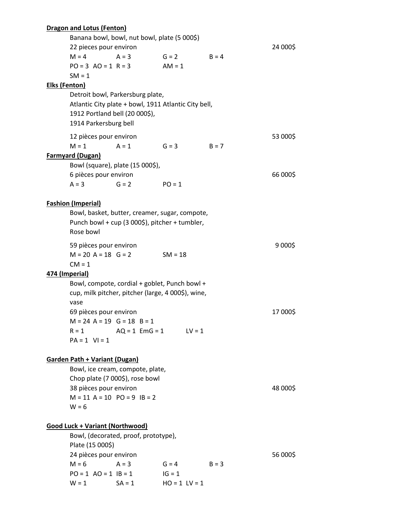|                      | <b>Dragon and Lotus (Fenton)</b>             |                                                      |                               |         |          |  |
|----------------------|----------------------------------------------|------------------------------------------------------|-------------------------------|---------|----------|--|
|                      | Banana bowl, bowl, nut bowl, plate (5 000\$) |                                                      |                               |         |          |  |
|                      | 22 pieces pour environ                       |                                                      |                               |         | 24 000\$ |  |
|                      | $M = 4$                                      | $A = 3$                                              | $G = 2$                       | $B = 4$ |          |  |
|                      | $PO = 3$ $AO = 1$ $R = 3$                    |                                                      | $AM = 1$                      |         |          |  |
|                      | $SM = 1$                                     |                                                      |                               |         |          |  |
| <b>Elks (Fenton)</b> |                                              |                                                      |                               |         |          |  |
|                      |                                              | Detroit bowl, Parkersburg plate,                     |                               |         |          |  |
|                      |                                              | Atlantic City plate + bowl, 1911 Atlantic City bell, |                               |         |          |  |
|                      | 1912 Portland bell (20 000\$),               |                                                      |                               |         |          |  |
|                      | 1914 Parkersburg bell                        |                                                      |                               |         |          |  |
|                      | 12 pièces pour environ                       |                                                      |                               |         | 53 000\$ |  |
|                      | $M = 1$                                      | $A = 1$                                              | $G = 3$                       | $B = 7$ |          |  |
|                      | <b>Farmyard (Dugan)</b>                      |                                                      |                               |         |          |  |
|                      |                                              | Bowl (square), plate (15 000\$),                     |                               |         |          |  |
|                      | 6 pièces pour environ                        |                                                      |                               |         | 66 000\$ |  |
|                      | $A = 3$                                      | $G = 2$                                              | $PO = 1$                      |         |          |  |
|                      |                                              |                                                      |                               |         |          |  |
|                      | <b>Fashion (Imperial)</b>                    |                                                      |                               |         |          |  |
|                      |                                              | Bowl, basket, butter, creamer, sugar, compote,       |                               |         |          |  |
|                      |                                              | Punch bowl + cup (3 000\$), pitcher + tumbler,       |                               |         |          |  |
|                      | Rose bowl                                    |                                                      |                               |         |          |  |
|                      | 59 pièces pour environ                       |                                                      |                               |         | 9 000\$  |  |
|                      | $M = 20 A = 18 G = 2$                        |                                                      | $SM = 18$                     |         |          |  |
|                      | $CM = 1$                                     |                                                      |                               |         |          |  |
| 474 (Imperial)       |                                              |                                                      |                               |         |          |  |
|                      |                                              | Bowl, compote, cordial + goblet, Punch bowl +        |                               |         |          |  |
|                      |                                              | cup, milk pitcher, pitcher (large, 4 000\$), wine,   |                               |         |          |  |
|                      | vase                                         |                                                      |                               |         |          |  |
|                      | 69 pièces pour environ                       |                                                      |                               |         | 17 000\$ |  |
|                      | $M = 24$ A = 19 G = 18 B = 1                 |                                                      |                               |         |          |  |
|                      | $R = 1$<br>$AQ = 1$ $EmG = 1$ $LV = 1$       |                                                      |                               |         |          |  |
|                      | $PA = 1$ VI = 1                              |                                                      |                               |         |          |  |
|                      |                                              |                                                      |                               |         |          |  |
|                      | <b>Garden Path + Variant (Dugan)</b>         |                                                      |                               |         |          |  |
|                      |                                              | Bowl, ice cream, compote, plate,                     |                               |         |          |  |
|                      |                                              | Chop plate (7 000\$), rose bowl                      |                               |         |          |  |
|                      | 38 pièces pour environ                       |                                                      |                               |         | 48 000\$ |  |
|                      | $M = 11$ A = 10 PO = 9 IB = 2                |                                                      |                               |         |          |  |
|                      | $W = 6$                                      |                                                      |                               |         |          |  |
|                      |                                              |                                                      |                               |         |          |  |
|                      | <b>Good Luck + Variant (Northwood)</b>       |                                                      |                               |         |          |  |
|                      | Bowl, (decorated, proof, prototype),         |                                                      |                               |         |          |  |
|                      | Plate (15 000\$)                             |                                                      |                               |         |          |  |
|                      | 24 pièces pour environ                       |                                                      |                               |         | 56 000\$ |  |
|                      | $M = 6$<br>$PO = 1$ $AO = 1$ $IB = 1$        | $A = 3$                                              | $G = 4$                       | $B = 3$ |          |  |
|                      | $W = 1$                                      | $SA = 1$                                             | $IG = 1$<br>$HO = 1$ $LV = 1$ |         |          |  |
|                      |                                              |                                                      |                               |         |          |  |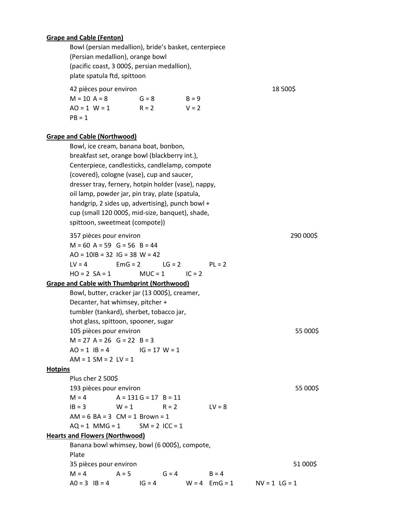#### **Grape and Cable (Fenton)**

Bowl (persian medallion), bride's basket, centerpiece (Persian medallion), orange bowl (pacific coast, 3 000\$, persian medallion), plate spatula ftd, spittoon

42 pièces pour environ qualitaire de la contratte de la second de la second de la second de la second de la second de la second de la second de la second de la second de la second de la second de la second de la second de

| $M = 10 A = 8$   | $G = 8$ | $B = 9$ |
|------------------|---------|---------|
| $AO = 1$ $W = 1$ | $R = 2$ | $V = 2$ |
| $PB = 1$         |         |         |

#### **Grape and Cable (Northwood)**

Bowl, ice cream, banana boat, bonbon, breakfast set, orange bowl (blackberry int.), Centerpiece, candlesticks, candlelamp, compote (covered), cologne (vase), cup and saucer, dresser tray, fernery, hotpin holder (vase), nappy, oil lamp, powder jar, pin tray, plate (spatula, handgrip, 2 sides up, advertising), punch bowl + cup (small 120 000\$, mid-size, banquet), shade, spittoon, sweetmeat (compote)) 357 pièces pour environ 290 000\$  $M = 60$  A = 59 G = 56 B = 44  $AO = 10IB = 32$   $IG = 38$   $W = 42$  $LV = 4$  EmG = 2 LG = 2 PL = 2  $HO = 2 SA = 1$   $MUC = 1$   $IC = 2$ **Grape and Cable with Thumbprint (Northwood)** Bowl, butter, cracker jar (13 000\$), creamer, Decanter, hat whimsey, pitcher + tumbler (tankard), sherbet, tobacco jar, shot glass, spittoon, spooner, sugar 105 pièces pour environ 55 000\$  $M = 27$  A = 26 G = 22 B = 3  $AO = 1$   $IB = 4$   $IG = 17$   $W = 1$  $AM = 1 SM = 2 LV = 1$ **Hotpins** Plus cher 2 500\$ 193 pièces pour environ 55 000\$  $M = 4$   $A = 131 G = 17 B = 11$  $IB = 3$   $W = 1$   $R = 2$   $LV = 8$  $AM = 6 BA = 3 CM = 1 Brown = 1$  $AQ = 1$  MMG = 1 SM = 2 ICC = 1 **Hearts and Flowers (Northwood)** Banana bowl whimsey, bowl (6 000\$), compote, Plate 35 pièces pour environ 51 000\$  $M = 4$   $A = 5$   $G = 4$   $B = 4$  $AO = 3$   $IB = 4$   $IG = 4$   $W = 4$   $EmG = 1$   $NV = 1$   $LG = 1$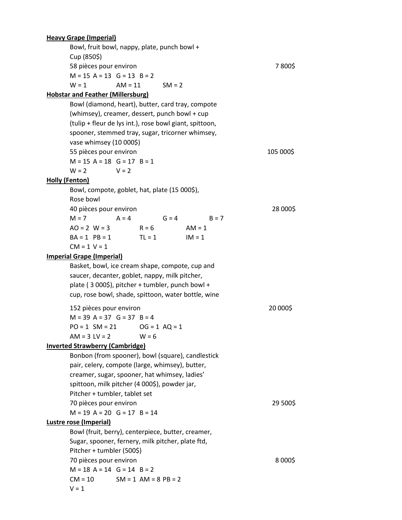## **Heavy Grape (Imperial)** Bowl, fruit bowl, nappy, plate, punch bowl + Cup (850\$) 58 pièces pour environ 7 800\$  $M = 15$  A = 13 G = 13 B = 2  $W = 1$   $AM = 11$   $SM = 2$ **Hobstar and Feather (Millersburg)** Bowl (diamond, heart), butter, card tray, compote (whimsey), creamer, dessert, punch bowl + cup (tulip + fleur de lys int.), rose bowl giant, spittoon, spooner, stemmed tray, sugar, tricorner whimsey, vase whimsey (10 000\$) 55 pièces pour environ de la commune de la constitution de la constitution de la constitution de la constitution  $M = 15$  A = 18 G = 17 B = 1  $W = 2$   $V = 2$ **Holly (Fenton)** Bowl, compote, goblet, hat, plate (15 000\$), Rose bowl 40 pièces pour environ 28 000\$  $M = 7$   $A = 4$   $G = 4$   $B = 7$  $AO = 2$   $W = 3$   $R = 6$   $AM = 1$  $BA = 1$   $PB = 1$   $TL = 1$   $IM = 1$  $CM = 1$  V = 1 **Imperial Grape (Imperial)** Basket, bowl, ice cream shape, compote, cup and saucer, decanter, goblet, nappy, milk pitcher, plate ( 3 000\$), pitcher + tumbler, punch bowl + cup, rose bowl, shade, spittoon, water bottle, wine 152 pièces pour environ 20 000\$  $M = 39$  A = 37 G = 37 B = 4  $PO = 1$  SM = 21  $OG = 1$  AQ = 1  $AM = 3 LV = 2$   $W = 6$ **Inverted Strawberry (Cambridge)** Bonbon (from spooner), bowl (square), candlestick pair, celery, compote (large, whimsey), butter, creamer, sugar, spooner, hat whimsey, ladies' spittoon, milk pitcher (4 000\$), powder jar, Pitcher + tumbler, tablet set 70 pièces pour environ 29 500\$  $M = 19$  A = 20 G = 17 B = 14

## **Lustre rose (Imperial)**

Bowl (fruit, berry), centerpiece, butter, creamer, Sugar, spooner, fernery, milk pitcher, plate ftd, Pitcher + tumbler (500\$) 70 pièces pour environ entre la commune de la constitution de la segund de la constitution de la constitution de la constitution de la constitution de la constitution de la constitution de la constitution de la constitutio  $M = 18$  A = 14 G = 14 B = 2  $CM = 10$   $SM = 1$   $AM = 8$   $PB = 2$  $V = 1$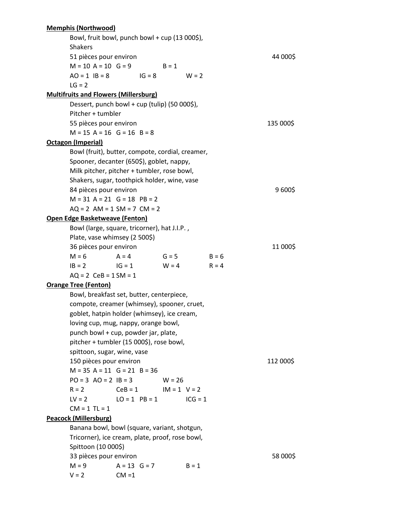## **Memphis (Northwood)** Bowl, fruit bowl, punch bowl + cup (13 000\$), Shakers 51 pièces pour environ 44 000\$  $M = 10$  A = 10 G = 9 B = 1  $AO = 1$   $IB = 8$   $IG = 8$   $W = 2$  $LG = 2$ **Multifruits and Flowers (Millersburg)** Dessert, punch bowl + cup (tulip) (50 000\$), Pitcher + tumbler 55 pièces pour environ 135 000\$  $M = 15$  A = 16 G = 16 B = 8 **Octagon (Imperial)** Bowl (fruit), butter, compote, cordial, creamer, Spooner, decanter (650\$), goblet, nappy, Milk pitcher, pitcher + tumbler, rose bowl, Shakers, sugar, toothpick holder, wine, vase 84 pièces pour environ qualitaire de la propone de la propone de la propone de la propone de la propone de la p  $M = 31$  A = 21 G = 18 PB = 2  $AQ = 2 AM = 1 SM = 7 CM = 2$ **Open Edge Basketweave (Fenton)** Bowl (large, square, tricorner), hat J.I.P. , Plate, vase whimsey (2 500\$) 36 pièces pour environ qualitaire de la contrata de la proponent de la contrata de la contrata de la contrata de la contrata de la contrata de la contrata de la contrata de la contrata de la contrata de la contrata de la c  $M = 6$   $A = 4$   $G = 5$   $B = 6$  $IB = 2$   $IG = 1$   $W = 4$   $R = 4$  $AQ = 2$   $CeB = 1 SM = 1$ **Orange Tree (Fenton)** Bowl, breakfast set, butter, centerpiece, compote, creamer (whimsey), spooner, cruet, goblet, hatpin holder (whimsey), ice cream, loving cup, mug, nappy, orange bowl, punch bowl + cup, powder jar, plate, pitcher + tumbler (15 000\$), rose bowl, spittoon, sugar, wine, vase 150 pièces pour environ qualitaire de la contratte de la partie de la contratte de la contratte de la partie d  $M = 35$  A = 11 G = 21 B = 36  $PO = 3 \text{ AO} = 2 \text{ IB} = 3 \text{ W} = 26$  $R = 2$  CeB = 1 IM = 1 V = 2  $LV = 2$   $LO = 1$   $PB = 1$   $ICG = 1$  $CM = 1$  TL = 1 **Peacock (Millersburg)** Banana bowl, bowl (square, variant, shotgun, Tricorner), ice cream, plate, proof, rose bowl, Spittoon (10 000\$) 33 pièces pour environ entre la communité de la commune de la commune de la commune de la commune de la communité de la commune de la commune de la commune de la commune de la commune de la commune de la commune de la comm  $M = 9$   $A = 13$   $G = 7$   $B = 1$  $V = 2$  CM =1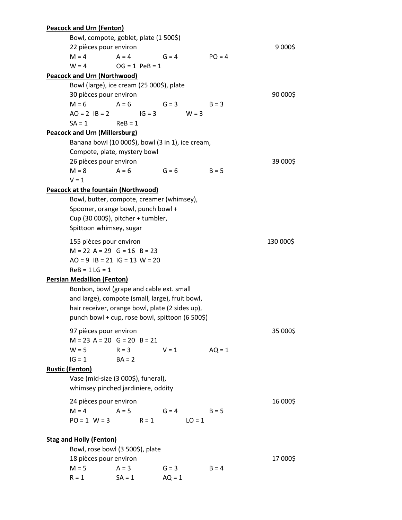| Bowl, compote, goblet, plate (1 500\$)<br>9 000\$<br>22 pièces pour environ<br>$G = 4$<br>$M = 4$<br>$A = 4$<br>$PO = 4$<br>$W = 4$<br>$OG = 1$ $PeB = 1$<br><b>Peacock and Urn (Northwood)</b><br>Bowl (large), ice cream (25 000\$), plate<br>90 000\$<br>30 pièces pour environ<br>$M = 6$<br>$A = 6$<br>$G = 3$<br>$B = 3$<br>$AO = 2$ $IB = 2$ $IG = 3$<br>$W = 3$<br>$SA = 1$<br>$ReB = 1$<br><b>Peacock and Urn (Millersburg)</b><br>Banana bowl (10 000\$), bowl (3 in 1), ice cream,<br>Compote, plate, mystery bowl<br>26 pièces pour environ<br>39 000\$<br>$M = 8$<br>$A = 6$<br>$G = 6$<br>$B = 5$<br>$V = 1$<br><b>Peacock at the fountain (Northwood)</b><br>Bowl, butter, compote, creamer (whimsey),<br>Spooner, orange bowl, punch bowl +<br>Cup (30 000\$), pitcher + tumbler,<br>Spittoon whimsey, sugar<br>155 pièces pour environ<br>130 000\$<br>$M = 22$ A = 29 G = 16 B = 23<br>$AO = 9$ $IB = 21$ $IG = 13$ $W = 20$<br>$ReB = 1 LG = 1$<br><b>Persian Medallion (Fenton)</b><br>Bonbon, bowl (grape and cable ext. small<br>and large), compote (small, large), fruit bowl,<br>hair receiver, orange bowl, plate (2 sides up),<br>punch bowl + cup, rose bowl, spittoon (6 500\$)<br>97 pièces pour environ<br>35 000\$<br>$M = 23$ A = 20 G = 20 B = 21<br>$W = 5$ $R = 3$ $V = 1$ $AQ = 1$<br>$IG = 1$ $BA = 2$<br><b>Rustic (Fenton)</b><br>Vase (mid-size (3 000\$), funeral),<br>whimsey pinched jardiniere, oddity<br>24 pièces pour environ<br>16 000\$<br>$M = 4$ $A = 5$ $G = 4$<br>$B = 5$<br>$PO = 1$ $W = 3$ $R = 1$<br>$LO = 1$<br><b>Stag and Holly (Fenton)</b><br>Bowl, rose bowl (3 500\$), plate<br>18 pièces pour environ<br>17 000\$<br>$M = 5$<br>$A = 3$<br>$G = 3$<br>$B = 4$<br>$SA = 1$ |  | <b>Peacock and Urn (Fenton)</b> |  |  |          |  |  |  |
|---------------------------------------------------------------------------------------------------------------------------------------------------------------------------------------------------------------------------------------------------------------------------------------------------------------------------------------------------------------------------------------------------------------------------------------------------------------------------------------------------------------------------------------------------------------------------------------------------------------------------------------------------------------------------------------------------------------------------------------------------------------------------------------------------------------------------------------------------------------------------------------------------------------------------------------------------------------------------------------------------------------------------------------------------------------------------------------------------------------------------------------------------------------------------------------------------------------------------------------------------------------------------------------------------------------------------------------------------------------------------------------------------------------------------------------------------------------------------------------------------------------------------------------------------------------------------------------------------------------------------------------------------------------------------------------------------------------------------------------------|--|---------------------------------|--|--|----------|--|--|--|
|                                                                                                                                                                                                                                                                                                                                                                                                                                                                                                                                                                                                                                                                                                                                                                                                                                                                                                                                                                                                                                                                                                                                                                                                                                                                                                                                                                                                                                                                                                                                                                                                                                                                                                                                             |  |                                 |  |  |          |  |  |  |
|                                                                                                                                                                                                                                                                                                                                                                                                                                                                                                                                                                                                                                                                                                                                                                                                                                                                                                                                                                                                                                                                                                                                                                                                                                                                                                                                                                                                                                                                                                                                                                                                                                                                                                                                             |  |                                 |  |  |          |  |  |  |
|                                                                                                                                                                                                                                                                                                                                                                                                                                                                                                                                                                                                                                                                                                                                                                                                                                                                                                                                                                                                                                                                                                                                                                                                                                                                                                                                                                                                                                                                                                                                                                                                                                                                                                                                             |  |                                 |  |  |          |  |  |  |
|                                                                                                                                                                                                                                                                                                                                                                                                                                                                                                                                                                                                                                                                                                                                                                                                                                                                                                                                                                                                                                                                                                                                                                                                                                                                                                                                                                                                                                                                                                                                                                                                                                                                                                                                             |  |                                 |  |  |          |  |  |  |
|                                                                                                                                                                                                                                                                                                                                                                                                                                                                                                                                                                                                                                                                                                                                                                                                                                                                                                                                                                                                                                                                                                                                                                                                                                                                                                                                                                                                                                                                                                                                                                                                                                                                                                                                             |  |                                 |  |  |          |  |  |  |
|                                                                                                                                                                                                                                                                                                                                                                                                                                                                                                                                                                                                                                                                                                                                                                                                                                                                                                                                                                                                                                                                                                                                                                                                                                                                                                                                                                                                                                                                                                                                                                                                                                                                                                                                             |  |                                 |  |  |          |  |  |  |
|                                                                                                                                                                                                                                                                                                                                                                                                                                                                                                                                                                                                                                                                                                                                                                                                                                                                                                                                                                                                                                                                                                                                                                                                                                                                                                                                                                                                                                                                                                                                                                                                                                                                                                                                             |  |                                 |  |  |          |  |  |  |
|                                                                                                                                                                                                                                                                                                                                                                                                                                                                                                                                                                                                                                                                                                                                                                                                                                                                                                                                                                                                                                                                                                                                                                                                                                                                                                                                                                                                                                                                                                                                                                                                                                                                                                                                             |  |                                 |  |  |          |  |  |  |
|                                                                                                                                                                                                                                                                                                                                                                                                                                                                                                                                                                                                                                                                                                                                                                                                                                                                                                                                                                                                                                                                                                                                                                                                                                                                                                                                                                                                                                                                                                                                                                                                                                                                                                                                             |  |                                 |  |  |          |  |  |  |
|                                                                                                                                                                                                                                                                                                                                                                                                                                                                                                                                                                                                                                                                                                                                                                                                                                                                                                                                                                                                                                                                                                                                                                                                                                                                                                                                                                                                                                                                                                                                                                                                                                                                                                                                             |  |                                 |  |  |          |  |  |  |
|                                                                                                                                                                                                                                                                                                                                                                                                                                                                                                                                                                                                                                                                                                                                                                                                                                                                                                                                                                                                                                                                                                                                                                                                                                                                                                                                                                                                                                                                                                                                                                                                                                                                                                                                             |  |                                 |  |  |          |  |  |  |
|                                                                                                                                                                                                                                                                                                                                                                                                                                                                                                                                                                                                                                                                                                                                                                                                                                                                                                                                                                                                                                                                                                                                                                                                                                                                                                                                                                                                                                                                                                                                                                                                                                                                                                                                             |  |                                 |  |  |          |  |  |  |
|                                                                                                                                                                                                                                                                                                                                                                                                                                                                                                                                                                                                                                                                                                                                                                                                                                                                                                                                                                                                                                                                                                                                                                                                                                                                                                                                                                                                                                                                                                                                                                                                                                                                                                                                             |  |                                 |  |  |          |  |  |  |
|                                                                                                                                                                                                                                                                                                                                                                                                                                                                                                                                                                                                                                                                                                                                                                                                                                                                                                                                                                                                                                                                                                                                                                                                                                                                                                                                                                                                                                                                                                                                                                                                                                                                                                                                             |  |                                 |  |  |          |  |  |  |
|                                                                                                                                                                                                                                                                                                                                                                                                                                                                                                                                                                                                                                                                                                                                                                                                                                                                                                                                                                                                                                                                                                                                                                                                                                                                                                                                                                                                                                                                                                                                                                                                                                                                                                                                             |  |                                 |  |  |          |  |  |  |
|                                                                                                                                                                                                                                                                                                                                                                                                                                                                                                                                                                                                                                                                                                                                                                                                                                                                                                                                                                                                                                                                                                                                                                                                                                                                                                                                                                                                                                                                                                                                                                                                                                                                                                                                             |  |                                 |  |  |          |  |  |  |
|                                                                                                                                                                                                                                                                                                                                                                                                                                                                                                                                                                                                                                                                                                                                                                                                                                                                                                                                                                                                                                                                                                                                                                                                                                                                                                                                                                                                                                                                                                                                                                                                                                                                                                                                             |  |                                 |  |  |          |  |  |  |
|                                                                                                                                                                                                                                                                                                                                                                                                                                                                                                                                                                                                                                                                                                                                                                                                                                                                                                                                                                                                                                                                                                                                                                                                                                                                                                                                                                                                                                                                                                                                                                                                                                                                                                                                             |  |                                 |  |  |          |  |  |  |
|                                                                                                                                                                                                                                                                                                                                                                                                                                                                                                                                                                                                                                                                                                                                                                                                                                                                                                                                                                                                                                                                                                                                                                                                                                                                                                                                                                                                                                                                                                                                                                                                                                                                                                                                             |  |                                 |  |  |          |  |  |  |
|                                                                                                                                                                                                                                                                                                                                                                                                                                                                                                                                                                                                                                                                                                                                                                                                                                                                                                                                                                                                                                                                                                                                                                                                                                                                                                                                                                                                                                                                                                                                                                                                                                                                                                                                             |  |                                 |  |  |          |  |  |  |
|                                                                                                                                                                                                                                                                                                                                                                                                                                                                                                                                                                                                                                                                                                                                                                                                                                                                                                                                                                                                                                                                                                                                                                                                                                                                                                                                                                                                                                                                                                                                                                                                                                                                                                                                             |  |                                 |  |  |          |  |  |  |
|                                                                                                                                                                                                                                                                                                                                                                                                                                                                                                                                                                                                                                                                                                                                                                                                                                                                                                                                                                                                                                                                                                                                                                                                                                                                                                                                                                                                                                                                                                                                                                                                                                                                                                                                             |  |                                 |  |  |          |  |  |  |
|                                                                                                                                                                                                                                                                                                                                                                                                                                                                                                                                                                                                                                                                                                                                                                                                                                                                                                                                                                                                                                                                                                                                                                                                                                                                                                                                                                                                                                                                                                                                                                                                                                                                                                                                             |  |                                 |  |  |          |  |  |  |
|                                                                                                                                                                                                                                                                                                                                                                                                                                                                                                                                                                                                                                                                                                                                                                                                                                                                                                                                                                                                                                                                                                                                                                                                                                                                                                                                                                                                                                                                                                                                                                                                                                                                                                                                             |  |                                 |  |  |          |  |  |  |
|                                                                                                                                                                                                                                                                                                                                                                                                                                                                                                                                                                                                                                                                                                                                                                                                                                                                                                                                                                                                                                                                                                                                                                                                                                                                                                                                                                                                                                                                                                                                                                                                                                                                                                                                             |  |                                 |  |  |          |  |  |  |
|                                                                                                                                                                                                                                                                                                                                                                                                                                                                                                                                                                                                                                                                                                                                                                                                                                                                                                                                                                                                                                                                                                                                                                                                                                                                                                                                                                                                                                                                                                                                                                                                                                                                                                                                             |  |                                 |  |  |          |  |  |  |
|                                                                                                                                                                                                                                                                                                                                                                                                                                                                                                                                                                                                                                                                                                                                                                                                                                                                                                                                                                                                                                                                                                                                                                                                                                                                                                                                                                                                                                                                                                                                                                                                                                                                                                                                             |  |                                 |  |  |          |  |  |  |
|                                                                                                                                                                                                                                                                                                                                                                                                                                                                                                                                                                                                                                                                                                                                                                                                                                                                                                                                                                                                                                                                                                                                                                                                                                                                                                                                                                                                                                                                                                                                                                                                                                                                                                                                             |  |                                 |  |  |          |  |  |  |
|                                                                                                                                                                                                                                                                                                                                                                                                                                                                                                                                                                                                                                                                                                                                                                                                                                                                                                                                                                                                                                                                                                                                                                                                                                                                                                                                                                                                                                                                                                                                                                                                                                                                                                                                             |  |                                 |  |  |          |  |  |  |
|                                                                                                                                                                                                                                                                                                                                                                                                                                                                                                                                                                                                                                                                                                                                                                                                                                                                                                                                                                                                                                                                                                                                                                                                                                                                                                                                                                                                                                                                                                                                                                                                                                                                                                                                             |  |                                 |  |  |          |  |  |  |
|                                                                                                                                                                                                                                                                                                                                                                                                                                                                                                                                                                                                                                                                                                                                                                                                                                                                                                                                                                                                                                                                                                                                                                                                                                                                                                                                                                                                                                                                                                                                                                                                                                                                                                                                             |  |                                 |  |  |          |  |  |  |
|                                                                                                                                                                                                                                                                                                                                                                                                                                                                                                                                                                                                                                                                                                                                                                                                                                                                                                                                                                                                                                                                                                                                                                                                                                                                                                                                                                                                                                                                                                                                                                                                                                                                                                                                             |  |                                 |  |  |          |  |  |  |
|                                                                                                                                                                                                                                                                                                                                                                                                                                                                                                                                                                                                                                                                                                                                                                                                                                                                                                                                                                                                                                                                                                                                                                                                                                                                                                                                                                                                                                                                                                                                                                                                                                                                                                                                             |  |                                 |  |  |          |  |  |  |
|                                                                                                                                                                                                                                                                                                                                                                                                                                                                                                                                                                                                                                                                                                                                                                                                                                                                                                                                                                                                                                                                                                                                                                                                                                                                                                                                                                                                                                                                                                                                                                                                                                                                                                                                             |  |                                 |  |  |          |  |  |  |
|                                                                                                                                                                                                                                                                                                                                                                                                                                                                                                                                                                                                                                                                                                                                                                                                                                                                                                                                                                                                                                                                                                                                                                                                                                                                                                                                                                                                                                                                                                                                                                                                                                                                                                                                             |  |                                 |  |  |          |  |  |  |
|                                                                                                                                                                                                                                                                                                                                                                                                                                                                                                                                                                                                                                                                                                                                                                                                                                                                                                                                                                                                                                                                                                                                                                                                                                                                                                                                                                                                                                                                                                                                                                                                                                                                                                                                             |  |                                 |  |  |          |  |  |  |
|                                                                                                                                                                                                                                                                                                                                                                                                                                                                                                                                                                                                                                                                                                                                                                                                                                                                                                                                                                                                                                                                                                                                                                                                                                                                                                                                                                                                                                                                                                                                                                                                                                                                                                                                             |  |                                 |  |  |          |  |  |  |
|                                                                                                                                                                                                                                                                                                                                                                                                                                                                                                                                                                                                                                                                                                                                                                                                                                                                                                                                                                                                                                                                                                                                                                                                                                                                                                                                                                                                                                                                                                                                                                                                                                                                                                                                             |  |                                 |  |  |          |  |  |  |
|                                                                                                                                                                                                                                                                                                                                                                                                                                                                                                                                                                                                                                                                                                                                                                                                                                                                                                                                                                                                                                                                                                                                                                                                                                                                                                                                                                                                                                                                                                                                                                                                                                                                                                                                             |  |                                 |  |  |          |  |  |  |
|                                                                                                                                                                                                                                                                                                                                                                                                                                                                                                                                                                                                                                                                                                                                                                                                                                                                                                                                                                                                                                                                                                                                                                                                                                                                                                                                                                                                                                                                                                                                                                                                                                                                                                                                             |  |                                 |  |  |          |  |  |  |
|                                                                                                                                                                                                                                                                                                                                                                                                                                                                                                                                                                                                                                                                                                                                                                                                                                                                                                                                                                                                                                                                                                                                                                                                                                                                                                                                                                                                                                                                                                                                                                                                                                                                                                                                             |  |                                 |  |  |          |  |  |  |
|                                                                                                                                                                                                                                                                                                                                                                                                                                                                                                                                                                                                                                                                                                                                                                                                                                                                                                                                                                                                                                                                                                                                                                                                                                                                                                                                                                                                                                                                                                                                                                                                                                                                                                                                             |  |                                 |  |  |          |  |  |  |
|                                                                                                                                                                                                                                                                                                                                                                                                                                                                                                                                                                                                                                                                                                                                                                                                                                                                                                                                                                                                                                                                                                                                                                                                                                                                                                                                                                                                                                                                                                                                                                                                                                                                                                                                             |  |                                 |  |  |          |  |  |  |
|                                                                                                                                                                                                                                                                                                                                                                                                                                                                                                                                                                                                                                                                                                                                                                                                                                                                                                                                                                                                                                                                                                                                                                                                                                                                                                                                                                                                                                                                                                                                                                                                                                                                                                                                             |  |                                 |  |  |          |  |  |  |
|                                                                                                                                                                                                                                                                                                                                                                                                                                                                                                                                                                                                                                                                                                                                                                                                                                                                                                                                                                                                                                                                                                                                                                                                                                                                                                                                                                                                                                                                                                                                                                                                                                                                                                                                             |  |                                 |  |  |          |  |  |  |
|                                                                                                                                                                                                                                                                                                                                                                                                                                                                                                                                                                                                                                                                                                                                                                                                                                                                                                                                                                                                                                                                                                                                                                                                                                                                                                                                                                                                                                                                                                                                                                                                                                                                                                                                             |  |                                 |  |  |          |  |  |  |
|                                                                                                                                                                                                                                                                                                                                                                                                                                                                                                                                                                                                                                                                                                                                                                                                                                                                                                                                                                                                                                                                                                                                                                                                                                                                                                                                                                                                                                                                                                                                                                                                                                                                                                                                             |  | $R = 1$                         |  |  | $AQ = 1$ |  |  |  |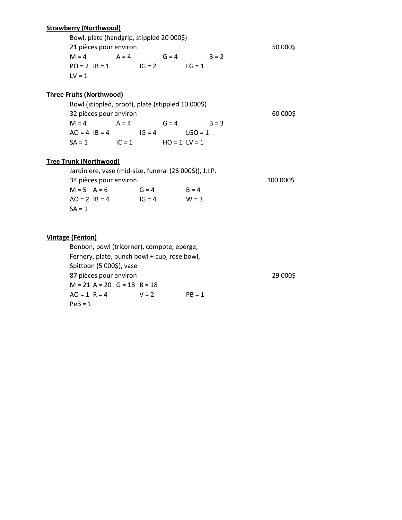## **Strawberry (Northwood)**

Bowl, plate (handgrip, stippled 20 000\$) 21 pièces pour environ entre la commune de la commune de la commune de la commune de la commune de la commune d  $M = 4$   $A = 4$   $G = 4$   $B = 2$  $PO = 2$   $IB = 1$   $IG = 2$   $LG = 1$  $LV = 1$ 

## **Three Fruits (Northwood)**

Bowl (stippled, proof), plate (stippled 10 000\$) 32 pièces pour environ 60 000\$  $M = 4$   $A = 4$   $G = 4$   $B = 3$  $AO = 4$   $IB = 4$   $IG = 4$   $LOG = 1$  $SA = 1$   $IC = 1$   $HO = 1$   $LV = 1$ 

## **Tree Trunk (Northwood)**

| Jardiniere, vase (mid-size, funeral (26 000\$)), J.I.P. |           |          |         |  |  |  |
|---------------------------------------------------------|-----------|----------|---------|--|--|--|
| 34 pièces pour environ                                  | 100 000\$ |          |         |  |  |  |
| $M = 5$ $A = 6$                                         |           | $G = 4$  | $B = 4$ |  |  |  |
| $AO = 2$ $IB = 4$                                       |           | $IG = 4$ | $W = 3$ |  |  |  |
| $SA = 1$                                                |           |          |         |  |  |  |

## **Vintage (Fenton)**

Bonbon, bowl (tricorner), compote, eperge, Fernery, plate, punch bowl + cup, rose bowl, Spittoon (5 000\$), vase 87 pièces pour environ entre la commune de la commune de la commune de 29 000\$  $M = 21$  A = 20 G = 18 B = 18  $AO = 1$   $R = 4$   $V = 2$   $PB = 1$  $PeB = 1$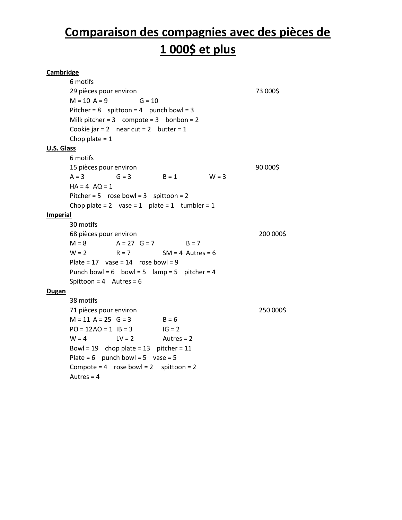## **Comparaison des compagnies avec des pièces de 1 000\$ et plus**

## **Cambridge** 6 motifs 29 pièces pour environ 73 000\$  $M = 10 A = 9$   $G = 10$ Pitcher =  $8$  spittoon =  $4$  punch bowl =  $3$ Milk pitcher =  $3$  compote =  $3$  bonbon =  $2$ Cookie jar =  $2$  near cut =  $2$  butter =  $1$ Chop plate  $= 1$ **U.S. Glass** 6 motifs 15 pièces pour environ 90 000\$  $A = 3$   $G = 3$   $B = 1$   $W = 3$  $HA = 4$   $AQ = 1$ Pitcher =  $5$  rose bowl =  $3$  spittoon =  $2$ Chop plate =  $2$  vase =  $1$  plate =  $1$  tumbler =  $1$ **Imperial** 30 motifs 68 pièces pour environ 200 000\$  $M = 8$   $A = 27$   $G = 7$   $B = 7$  $W = 2$  R = 7 SM = 4 Autres = 6 Plate =  $17$  vase =  $14$  rose bowl = 9 Punch bowl =  $6$  bowl =  $5$  lamp =  $5$  pitcher =  $4$ Spittoon =  $4$  Autres =  $6$ **Dugan** 38 motifs 71 pièces pour environ 250 000\$  $M = 11$  A = 25 G = 3 B = 6  $PO = 12AO = 1$   $IB = 3$   $IG = 2$  $W = 4$   $LV = 2$  Autres = 2 Bowl =  $19$  chop plate =  $13$  pitcher =  $11$ Plate =  $6$  punch bowl =  $5$  vase =  $5$ Compote =  $4$  rose bowl =  $2$  spittoon =  $2$ Autres  $= 4$